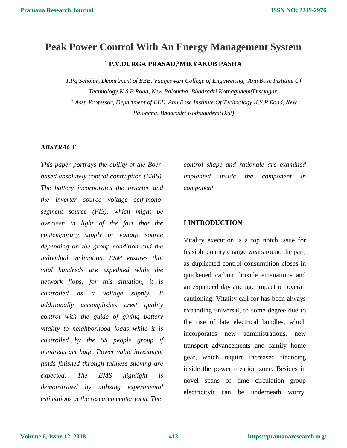# **Peak Power Control With An Energy Management System <sup>1</sup> P.V.DURGA PRASAD, <sup>2</sup>MD.YAKUB PASHA**

*1.Pg Scholar, Department of EEE, Vaageswari College of Engineering, Anu Bose Institute Of Technology,K.S.P Road, New Paloncha, Bhadradri Kothagudem(Dist)agar. 2.Asst. Professor, Department of EEE, Anu Bose Institute Of Technology,K.S.P Road, New Paloncha, Bhadradri Kothagudem(Dist)*

#### *ABSTRACT*

*This paper portrays the ability of the Boerbased absolutely control contraption (EMS). The battery incorporates the inverter and the inverter source voltage self-monosegment source (FIS), which might be overseen in light of the fact that the contemporary supply or voltage source depending on the group condition and the individual inclination. ESM ensures that vital hundreds are expedited while the network flops; for this situation, it is controlled as a voltage supply. It additionally accomplishes crest quality control with the guide of giving battery vitality to neighborhood loads while it is controlled by the SS people group if hundreds get huge. Power value investment funds finished through tallness shaving are expected. The EMS highlight is demonstrated by utilizing experimental estimations at the research center form. The* 

*control shape and rationale are examined implanted inside the component in component*

#### **I INTRODUCTION**

Vitality execution is a top notch issue for feasible quality change wears round the part, as duplicated control consumption closes in quickened carbon dioxide emanations and an expanded day and age impact on overall cautioning. Vitality call for has been always expanding universal, to some degree due to the rise of late electrical bundles, which incorporates new administrations, new transport advancements and family home gear, which require increased financing inside the power creation zone. Besides in novel spans of time circulation group electricityIt can be underneath worry,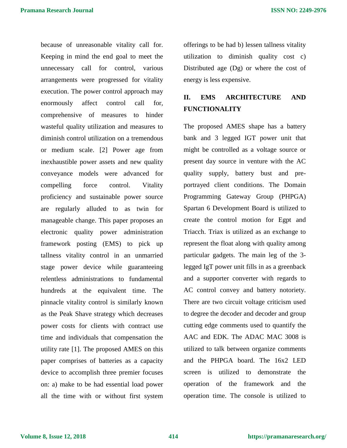because of unreasonable vitality call for. Keeping in mind the end goal to meet the unnecessary call for control, various arrangements were progressed for vitality execution. The power control approach may enormously affect control call for, comprehensive of measures to hinder wasteful quality utilization and measures to diminish control utilization on a tremendous or medium scale. [2] Power age from inexhaustible power assets and new quality conveyance models were advanced for compelling force control. Vitality proficiency and sustainable power source are regularly alluded to as twin for manageable change. This paper proposes an electronic quality power administration framework posting (EMS) to pick up tallness vitality control in an unmarried stage power device while guaranteeing relentless administrations to fundamental hundreds at the equivalent time. The pinnacle vitality control is similarly known as the Peak Shave strategy which decreases power costs for clients with contract use time and individuals that compensation the utility rate [1]. The proposed AMES on this paper comprises of batteries as a capacity device to accomplish three premier focuses on: a) make to be had essential load power all the time with or without first system

offerings to be had b) lessen tallness vitality utilization to diminish quality cost c) Distributed age (Dg) or where the cost of energy is less expensive.

### **II. EMS ARCHITECTURE AND FUNCTIONALITY**

The proposed AMES shape has a battery bank and 3 legged IGT power unit that might be controlled as a voltage source or present day source in venture with the AC quality supply, battery bust and preportrayed client conditions. The Domain Programming Gateway Group (PHPGA) Spartan 6 Development Board is utilized to create the control motion for Egpt and Triacch. Triax is utilized as an exchange to represent the float along with quality among particular gadgets. The main leg of the 3 legged IgT power unit fills in as a greenback and a supporter converter with regards to AC control convey and battery notoriety. There are two circuit voltage criticism used to degree the decoder and decoder and group cutting edge comments used to quantify the AAC and EDK. The ADAC MAC 3008 is utilized to talk between organize comments and the PHPGA board. The 16x2 LED screen is utilized to demonstrate the operation of the framework and the operation time. The console is utilized to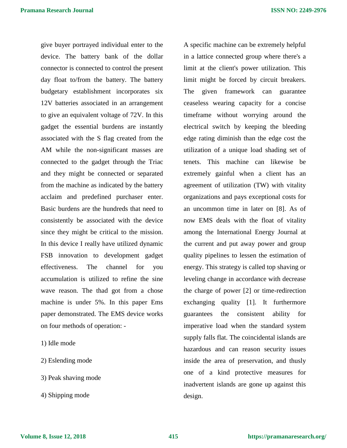give buyer portrayed individual enter to the device. The battery bank of the dollar connector is connected to control the present day float to/from the battery. The battery budgetary establishment incorporates six 12V batteries associated in an arrangement to give an equivalent voltage of 72V. In this gadget the essential burdens are instantly associated with the S flag created from the AM while the non-significant masses are connected to the gadget through the Triac and they might be connected or separated from the machine as indicated by the battery acclaim and predefined purchaser enter. Basic burdens are the hundreds that need to consistently be associated with the device since they might be critical to the mission. In this device I really have utilized dynamic FSB innovation to development gadget effectiveness. The channel for you accumulation is utilized to refine the sine wave reason. The thad got from a chose machine is under 5%. In this paper Ems paper demonstrated. The EMS device works on four methods of operation: -

- 1) Idle mode
- 2) Eslending mode
- 3) Peak shaving mode
- 4) Shipping mode

A specific machine can be extremely helpful in a lattice connected group where there's a limit at the client's power utilization. This limit might be forced by circuit breakers. The given framework can guarantee ceaseless wearing capacity for a concise timeframe without worrying around the electrical switch by keeping the bleeding edge rating diminish than the edge cost the utilization of a unique load shading set of tenets. This machine can likewise be extremely gainful when a client has an agreement of utilization (TW) with vitality organizations and pays exceptional costs for an uncommon time in later on [8]. As of now EMS deals with the float of vitality among the International Energy Journal at the current and put away power and group quality pipelines to lessen the estimation of energy. This strategy is called top shaving or leveling change in accordance with decrease the charge of power [2] or time-redirection exchanging quality [1]. It furthermore guarantees the consistent ability for imperative load when the standard system supply falls flat. The coincidental islands are hazardous and can reason security issues inside the area of preservation, and thusly one of a kind protective measures for inadvertent islands are gone up against this design.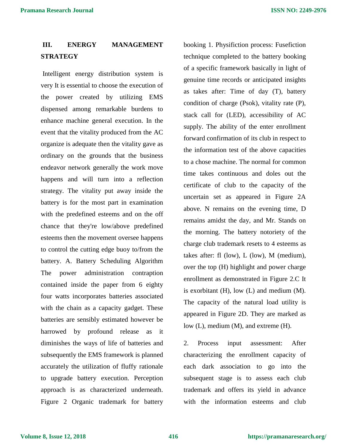# **III. ENERGY MANAGEMENT STRATEGY**

Intelligent energy distribution system is very It is essential to choose the execution of the power created by utilizing EMS dispensed among remarkable burdens to enhance machine general execution. In the event that the vitality produced from the AC organize is adequate then the vitality gave as ordinary on the grounds that the business endeavor network generally the work move happens and will turn into a reflection strategy. The vitality put away inside the battery is for the most part in examination with the predefined esteems and on the off chance that they're low/above predefined esteems then the movement oversee happens to control the cutting edge buoy to/from the battery. A. Battery Scheduling Algorithm The power administration contraption contained inside the paper from 6 eighty four watts incorporates batteries associated with the chain as a capacity gadget. These batteries are sensibly estimated however be harrowed by profound release as it diminishes the ways of life of batteries and subsequently the EMS framework is planned accurately the utilization of fluffy rationale to upgrade battery execution. Perception approach is as characterized underneath. Figure 2 Organic trademark for battery

booking 1. Physifiction process: Fusefiction technique completed to the battery booking of a specific framework basically in light of genuine time records or anticipated insights as takes after: Time of day (T), battery condition of charge (Psok), vitality rate (P), stack call for (LED), accessibility of AC supply. The ability of the enter enrollment forward confirmation of its club in respect to the information test of the above capacities to a chose machine. The normal for common time takes continuous and doles out the certificate of club to the capacity of the uncertain set as appeared in Figure 2A above. N remains on the evening time, D remains amidst the day, and Mr. Stands on the morning. The battery notoriety of the charge club trademark resets to 4 esteems as takes after: fl (low), L (low), M (medium), over the top (H) highlight and power charge enrollment as demonstrated in Figure 2.C It is exorbitant (H), low (L) and medium (M). The capacity of the natural load utility is appeared in Figure 2D. They are marked as low (L), medium (M), and extreme (H).

2. Process input assessment: After characterizing the enrollment capacity of each dark association to go into the subsequent stage is to assess each club trademark and offers its yield in advance with the information esteems and club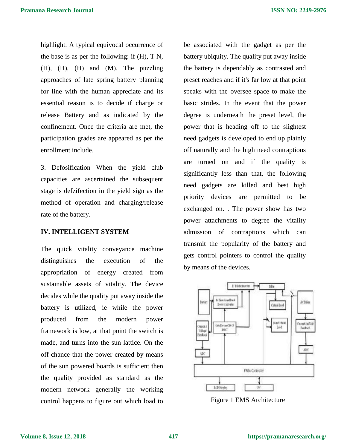highlight. A typical equivocal occurrence of the base is as per the following: if (H), T N, (H), (H), (H) and (M). The puzzling approaches of late spring battery planning for line with the human appreciate and its essential reason is to decide if charge or release Battery and as indicated by the confinement. Once the criteria are met, the participation grades are appeared as per the enrollment include.

3. Defosification When the yield club capacities are ascertained the subsequent stage is defzifection in the yield sign as the method of operation and charging/release rate of the battery.

#### **IV. INTELLIGENT SYSTEM**

The quick vitality conveyance machine distinguishes the execution of the appropriation of energy created from sustainable assets of vitality. The device decides while the quality put away inside the battery is utilized, ie while the power produced from the modern power framework is low, at that point the switch is made, and turns into the sun lattice. On the off chance that the power created by means of the sun powered boards is sufficient then the quality provided as standard as the modern network generally the working control happens to figure out which load to

be associated with the gadget as per the battery ubiquity. The quality put away inside the battery is dependably as contrasted and preset reaches and if it's far low at that point speaks with the oversee space to make the basic strides. In the event that the power degree is underneath the preset level, the power that is heading off to the slightest need gadgets is developed to end up plainly off naturally and the high need contraptions are turned on and if the quality is significantly less than that, the following need gadgets are killed and best high priority devices are permitted to be exchanged on. . The power show has two power attachments to degree the vitality admission of contraptions which can transmit the popularity of the battery and gets control pointers to control the quality by means of the devices.



Figure 1 EMS Architecture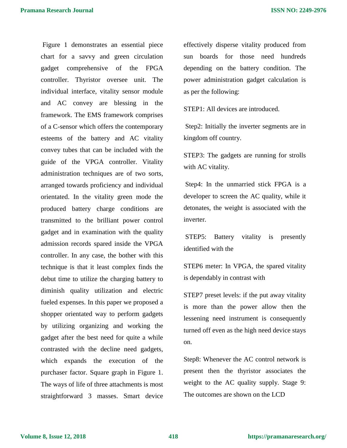Figure 1 demonstrates an essential piece chart for a savvy and green circulation gadget comprehensive of the FPGA controller. Thyristor oversee unit. The individual interface, vitality sensor module and AC convey are blessing in the framework. The EMS framework comprises of a C-sensor which offers the contemporary esteems of the battery and AC vitality convey tubes that can be included with the guide of the VPGA controller. Vitality administration techniques are of two sorts, arranged towards proficiency and individual orientated. In the vitality green mode the produced battery charge conditions are transmitted to the brilliant power control gadget and in examination with the quality admission records spared inside the VPGA controller. In any case, the bother with this technique is that it least complex finds the debut time to utilize the charging battery to diminish quality utilization and electric fueled expenses. In this paper we proposed a shopper orientated way to perform gadgets by utilizing organizing and working the gadget after the best need for quite a while contrasted with the decline need gadgets, which expands the execution of the purchaser factor. Square graph in Figure 1. The ways of life of three attachments is most straightforward 3 masses. Smart device

effectively disperse vitality produced from sun boards for those need hundreds depending on the battery condition. The power administration gadget calculation is as per the following:

STEP1: All devices are introduced.

Step2: Initially the inverter segments are in kingdom off country.

STEP3: The gadgets are running for strolls with AC vitality.

Step4: In the unmarried stick FPGA is a developer to screen the AC quality, while it detonates, the weight is associated with the inverter.

STEP5: Battery vitality is presently identified with the

STEP6 meter: In VPGA, the spared vitality is dependably in contrast with

STEP7 preset levels: if the put away vitality is more than the power allow then the lessening need instrument is consequently turned off even as the high need device stays on.

Step8: Whenever the AC control network is present then the thyristor associates the weight to the AC quality supply. Stage 9: The outcomes are shown on the LCD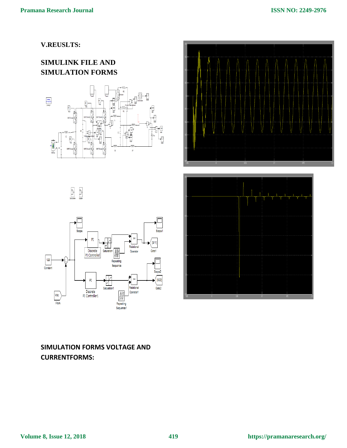**V.REUSLTS:**

## **SIMULINK FILE AND SIMULATION FORMS**



 $\begin{picture}(130,10) \put(0,0){\line(1,0){15}} \put(15,0){\line(1,0){15}} \put(15,0){\line(1,0){15}} \put(15,0){\line(1,0){15}} \put(15,0){\line(1,0){15}} \put(15,0){\line(1,0){15}} \put(15,0){\line(1,0){15}} \put(15,0){\line(1,0){15}} \put(15,0){\line(1,0){15}} \put(15,0){\line(1,0){15}} \put(15,0){\line(1,0){15}} \put(15,0){\line($ 







### **SIMULATION FORMS VOLTAGE AND CURRENTFORMS:**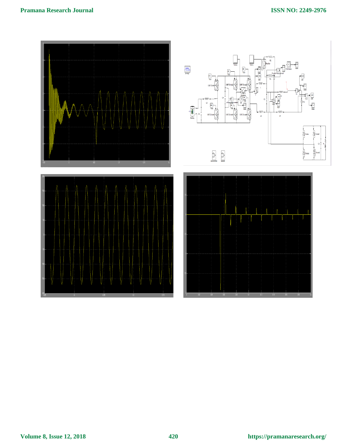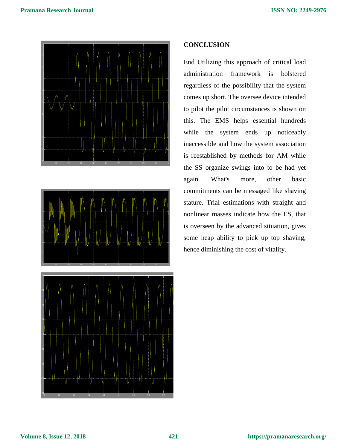





### **CONCLUSION**

End Utilizing this approach of critical load administration framework is bolstered regardless of the possibility that the system comes up short. The oversee device intended to pilot the pilot circumstances is shown on this. The EMS helps essential hundreds while the system ends up noticeably inaccessible and how the system association is reestablished by methods for AM while the SS organize swings into to be had yet again. What's more, other basic commitments can be messaged like shaving stature. Trial estimations with straight and nonlinear masses indicate how the ES, that is overseen by the advanced situation, gives some heap ability to pick up top shaving, hence diminishing the cost of vitality.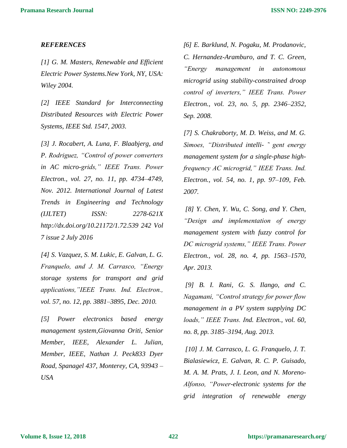#### *REFERENCES*

*[1] G. M. Masters, Renewable and Efficient Electric Power Systems.New York, NY, USA: Wiley 2004.* 

*[2] IEEE Standard for Interconnecting Distributed Resources with Electric Power Systems, IEEE Std. 1547, 2003.* 

*[3] J. Rocabert, A. Luna, F. Blaabjerg, and P. Rodriguez, "Control of power converters in AC micro-grids," IEEE Trans. Power Electron., vol. 27, no. 11, pp. 4734–4749, Nov. 2012. International Journal of Latest Trends in Engineering and Technology (IJLTET) ISSN: 2278-621X http://dx.doi.org/10.21172/1.72.539 242 Vol 7 issue 2 July 2016* 

*[4] S. Vazquez, S. M. Lukic, E. Galvan, L. G. Franquelo, and J. M. Carrasco, "Energy storage systems for transport and grid applications,"IEEE Trans. Ind. Electron., vol. 57, no. 12, pp. 3881–3895, Dec. 2010.* 

*[5] Power electronics based energy management system,Giovanna Oriti, Senior Member, IEEE, Alexander L. Julian, Member, IEEE, Nathan J. Peck833 Dyer Road, Spanagel 437, Monterey, CA, 93943 – USA*

*[6] E. Barklund, N. Pogaku, M. Prodanovic, C. Hernandez-Aramburo, and T. C. Green, "Energy management in autonomous microgrid using stability-constrained droop control of inverters," IEEE Trans. Power Electron., vol. 23, no. 5, pp. 2346–2352, Sep. 2008.* 

*[7] S. Chakraborty, M. D. Weiss, and M. G. Simoes, "Distributed intelli- ˜ gent energy management system for a single-phase highfrequency AC microgrid," IEEE Trans. Ind. Electron., vol. 54, no. 1, pp. 97–109, Feb. 2007.*

*[8] Y. Chen, Y. Wu, C. Song, and Y. Chen, "Design and implementation of energy management system with fuzzy control for DC microgrid systems," IEEE Trans. Power Electron., vol. 28, no. 4, pp. 1563–1570, Apr. 2013.*

*[9] B. I. Rani, G. S. Ilango, and C. Nagamani, "Control strategy for power flow management in a PV system supplying DC loads," IEEE Trans. Ind. Electron., vol. 60, no. 8, pp. 3185–3194, Aug. 2013.*

*[10] J. M. Carrasco, L. G. Franquelo, J. T. Bialasiewicz, E. Galvan, R. C. P. Guisado, M. A. M. Prats, J. I. Leon, and N. Moreno-Alfonso, "Power-electronic systems for the grid integration of renewable energy*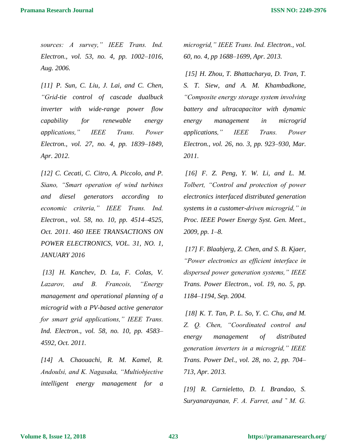*sources: A survey," IEEE Trans. Ind. Electron., vol. 53, no. 4, pp. 1002–1016, Aug. 2006.* 

*[11] P. Sun, C. Liu, J. Lai, and C. Chen, "Grid-tie control of cascade dualbuck inverter with wide-range power flow capability for renewable energy applications," IEEE Trans. Power Electron., vol. 27, no. 4, pp. 1839–1849, Apr. 2012.* 

*[12] C. Cecati, C. Citro, A. Piccolo, and P. Siano, "Smart operation of wind turbines and diesel generators according to economic criteria," IEEE Trans. Ind. Electron., vol. 58, no. 10, pp. 4514–4525, Oct. 2011. 460 IEEE TRANSACTIONS ON POWER ELECTRONICS, VOL. 31, NO. 1, JANUARY 2016*

*[13] H. Kanchev, D. Lu, F. Colas, V. Lazarov, and B. Francois, "Energy management and operational planning of a microgrid with a PV-based active generator for smart grid applications," IEEE Trans. Ind. Electron., vol. 58, no. 10, pp. 4583– 4592, Oct. 2011.* 

*[14] A. Chaouachi, R. M. Kamel, R. Andoulsi, and K. Nagasaka, "Multiobjective intelligent energy management for a*  *microgrid," IEEE Trans. Ind. Electron., vol. 60, no. 4, pp 1688–1699, Apr. 2013.*

*[15] H. Zhou, T. Bhattacharya, D. Tran, T. S. T. Siew, and A. M. Khambadkone, "Composite energy storage system involving battery and ultracapacitor with dynamic energy management in microgrid applications," IEEE Trans. Power Electron., vol. 26, no. 3, pp. 923–930, Mar. 2011.*

*[16] F. Z. Peng, Y. W. Li, and L. M. Tolbert, "Control and protection of power electronics interfaced distributed generation systems in a customer-driven microgrid," in Proc. IEEE Power Energy Syst. Gen. Meet., 2009, pp. 1–8.*

*[17] F. Blaabjerg, Z. Chen, and S. B. Kjaer, "Power electronics as efficient interface in dispersed power generation systems," IEEE Trans. Power Electron., vol. 19, no. 5, pp. 1184–1194, Sep. 2004.*

*[18] K. T. Tan, P. L. So, Y. C. Chu, and M. Z. Q. Chen, "Coordinated control and energy management of distributed generation inverters in a microgrid," IEEE Trans. Power Del., vol. 28, no. 2, pp. 704– 713, Apr. 2013.* 

*[19] R. Carnieletto, D. I. Brandao, S. Suryanarayanan, F. A. Farret, and ˜ M. G.*